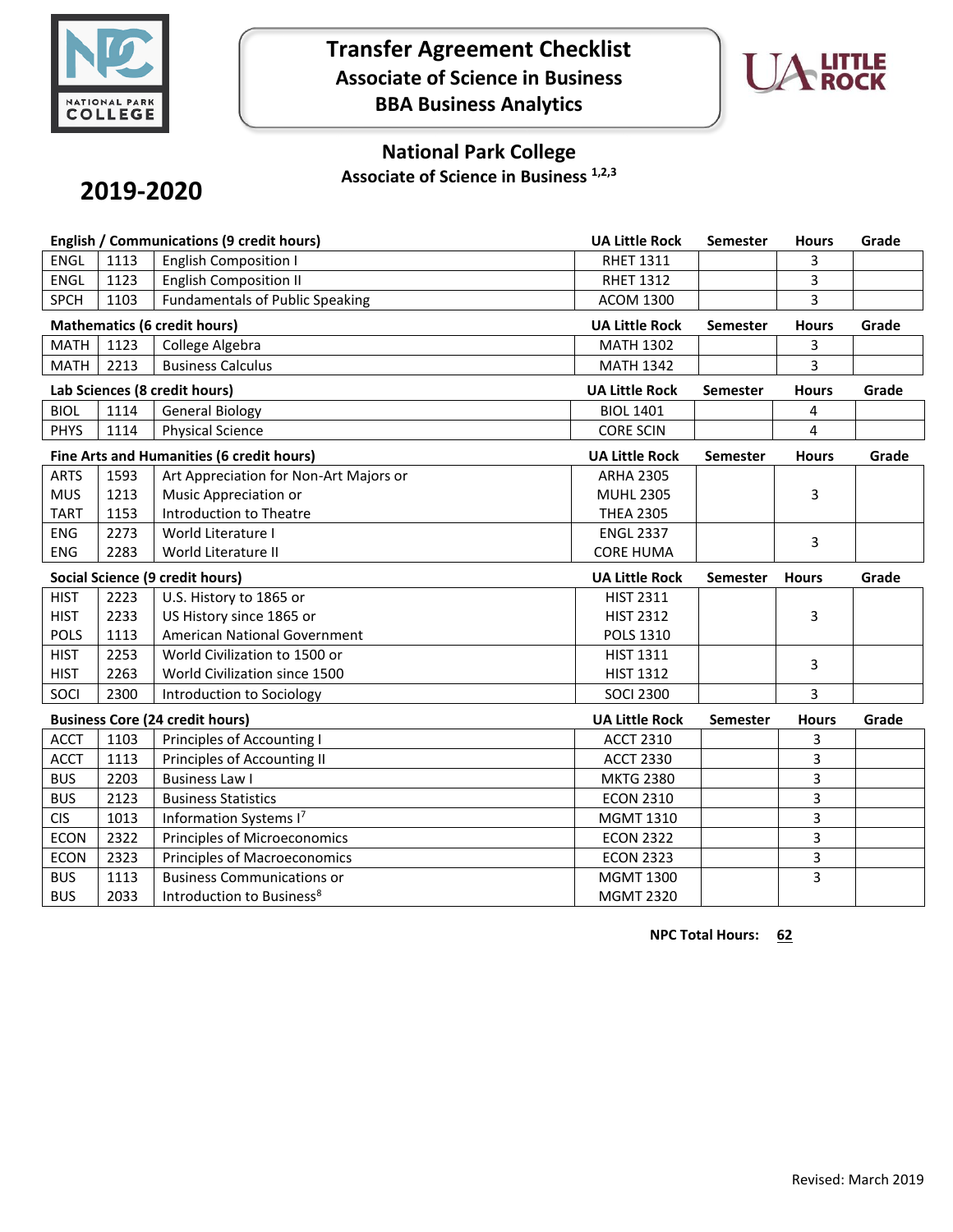

**Transfer Agreement Checklist Associate of Science in Business BBA Business Analytics**



## **National Park College**

**Associate of Science in Business 1,2,3**

# **2019-2020**

| <b>English / Communications (9 credit hours)</b> |      |                                        | <b>UA Little Rock</b> | Semester        | <b>Hours</b> | Grade |
|--------------------------------------------------|------|----------------------------------------|-----------------------|-----------------|--------------|-------|
| <b>ENGL</b>                                      | 1113 | <b>English Composition I</b>           | <b>RHET 1311</b>      |                 | 3            |       |
| <b>ENGL</b>                                      | 1123 | <b>English Composition II</b>          | <b>RHET 1312</b>      |                 | 3            |       |
| <b>SPCH</b>                                      | 1103 | <b>Fundamentals of Public Speaking</b> | <b>ACOM 1300</b>      |                 | 3            |       |
| <b>Mathematics (6 credit hours)</b>              |      |                                        | <b>UA Little Rock</b> | Semester        | <b>Hours</b> | Grade |
| <b>MATH</b>                                      | 1123 | College Algebra                        | <b>MATH 1302</b>      |                 | 3            |       |
| <b>MATH</b>                                      | 2213 | <b>Business Calculus</b>               | <b>MATH 1342</b>      |                 | 3            |       |
| Lab Sciences (8 credit hours)                    |      |                                        | <b>UA Little Rock</b> | <b>Semester</b> | <b>Hours</b> | Grade |
| <b>BIOL</b>                                      | 1114 | <b>General Biology</b>                 | <b>BIOL 1401</b>      |                 | 4            |       |
| <b>PHYS</b>                                      | 1114 | <b>Physical Science</b>                | <b>CORE SCIN</b>      |                 | 4            |       |
| Fine Arts and Humanities (6 credit hours)        |      |                                        | <b>UA Little Rock</b> | <b>Semester</b> | <b>Hours</b> | Grade |
| <b>ARTS</b>                                      | 1593 | Art Appreciation for Non-Art Majors or | <b>ARHA 2305</b>      |                 |              |       |
| <b>MUS</b>                                       | 1213 | Music Appreciation or                  | <b>MUHL 2305</b>      |                 | 3            |       |
| <b>TART</b>                                      | 1153 | <b>Introduction to Theatre</b>         | <b>THEA 2305</b>      |                 |              |       |
| <b>ENG</b>                                       | 2273 | World Literature I                     | <b>ENGL 2337</b>      |                 | 3            |       |
| <b>ENG</b>                                       | 2283 | World Literature II                    | <b>CORE HUMA</b>      |                 |              |       |
| Social Science (9 credit hours)                  |      |                                        |                       |                 |              |       |
|                                                  |      |                                        | <b>UA Little Rock</b> | <b>Semester</b> | <b>Hours</b> | Grade |
| <b>HIST</b>                                      | 2223 | U.S. History to 1865 or                | <b>HIST 2311</b>      |                 |              |       |
| <b>HIST</b>                                      | 2233 | US History since 1865 or               | <b>HIST 2312</b>      |                 | 3            |       |
| <b>POLS</b>                                      | 1113 | American National Government           | <b>POLS 1310</b>      |                 |              |       |
| <b>HIST</b>                                      | 2253 | World Civilization to 1500 or          | <b>HIST 1311</b>      |                 |              |       |
| <b>HIST</b>                                      | 2263 | World Civilization since 1500          | <b>HIST 1312</b>      |                 | 3            |       |
| SOCI                                             | 2300 | Introduction to Sociology              | <b>SOCI 2300</b>      |                 | 3            |       |
|                                                  |      | <b>Business Core (24 credit hours)</b> | <b>UA Little Rock</b> | <b>Semester</b> | <b>Hours</b> | Grade |
| <b>ACCT</b>                                      | 1103 | Principles of Accounting I             | <b>ACCT 2310</b>      |                 | 3            |       |
| <b>ACCT</b>                                      | 1113 | Principles of Accounting II            | <b>ACCT 2330</b>      |                 | 3            |       |
| <b>BUS</b>                                       | 2203 | <b>Business Law I</b>                  | <b>MKTG 2380</b>      |                 | 3            |       |
| <b>BUS</b>                                       | 2123 | <b>Business Statistics</b>             | <b>ECON 2310</b>      |                 | 3            |       |
| <b>CIS</b>                                       | 1013 | Information Systems I7                 | MGMT 1310             |                 | 3            |       |
| <b>ECON</b>                                      | 2322 | Principles of Microeconomics           | <b>ECON 2322</b>      |                 | 3            |       |
| <b>ECON</b>                                      | 2323 | Principles of Macroeconomics           | <b>ECON 2323</b>      |                 | 3            |       |
| <b>BUS</b>                                       | 1113 | <b>Business Communications or</b>      | <b>MGMT 1300</b>      |                 | 3            |       |

**NPC Total Hours: 62**